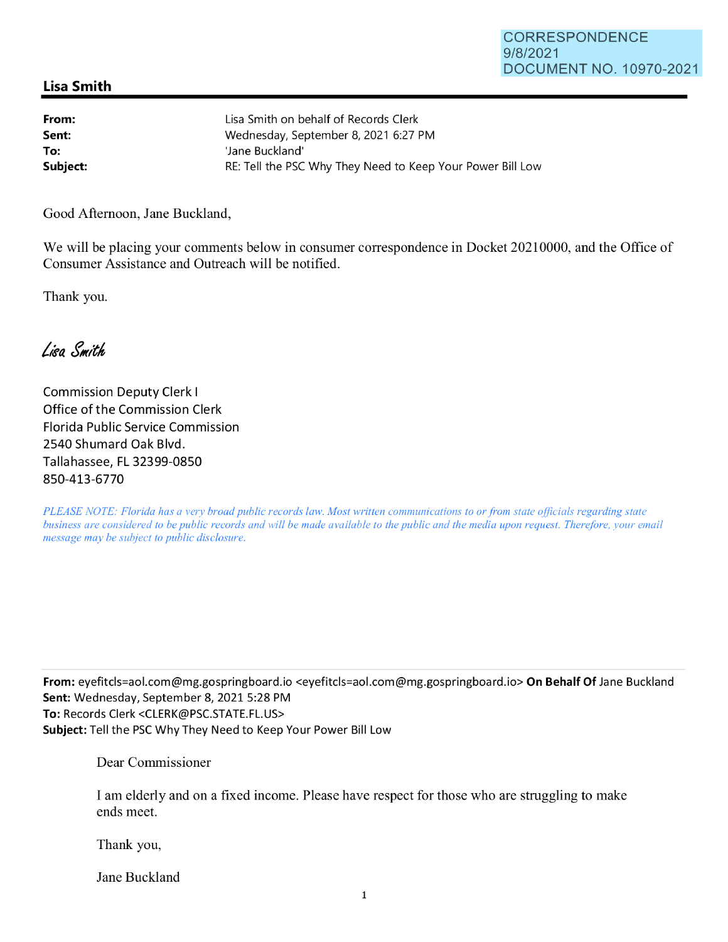## CORRESPONDENCE 9/8/2021 DOCUMENT NO. 10970-2021

## **Lisa Smith**

| From:    | Lisa Smith on behalf of Records Clerk                      |
|----------|------------------------------------------------------------|
| Sent:    | Wednesday, September 8, 2021 6:27 PM                       |
| To:      | 'Jane Buckland'                                            |
| Subject: | RE: Tell the PSC Why They Need to Keep Your Power Bill Low |

Good Afternoon, Jane Buckland,

We will be placing your comments below in consumer correspondence in Docket 20210000, and the Office of Consumer Assistance and Outreach will be notified.

Thank you.

Lisa Smith

Commission Deputy Clerk I Office of the Commission Clerk Florida Public Service Commission 2540 Shumard Oak Blvd. Tallahassee, FL 32399-0850 850-413-6770

*PLEASE NOTE: Florida has a very broad public records law. Most written communications to or from state officials regarding state business are considered to be public records and will be made available to the public and the media upon request. Therefore, your email message may be subject to public disclosure.* 

**From:** eyefitcls=aol.com@mg.gospringboard.io <eyefitcls=aol.com@mg.gospringboard.io> **On Behalf Of** Jane Buckland **Sent:** Wednesday, September 8, 2021 5:28 PM **To:** Records Clerk <CLERK@PSC.STATE.FL.US> **Subject:** Tell the PSC Why They Need to Keep Your Power Bill Low

Dear Commissioner

I am elderly and on a fixed income. Please have respect for those who are struggling to make ends meet.

Thank you,

Jane Buckland